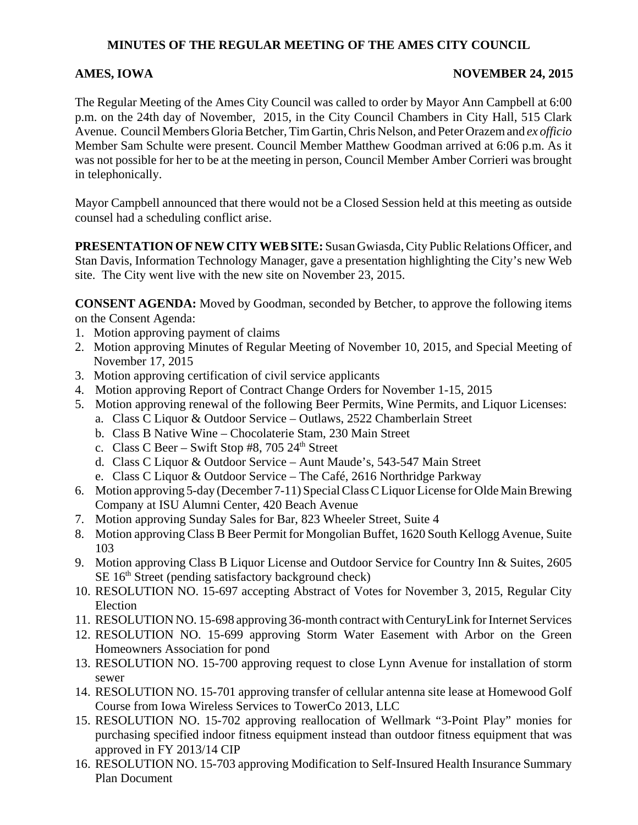# **MINUTES OF THE REGULAR MEETING OF THE AMES CITY COUNCIL**

## AMES, IOWA NOVEMBER 24, 2015

The Regular Meeting of the Ames City Council was called to order by Mayor Ann Campbell at 6:00 p.m. on the 24th day of November, 2015, in the City Council Chambers in City Hall, 515 Clark Avenue. Council Members Gloria Betcher, Tim Gartin, Chris Nelson, and Peter Orazem and *ex officio* Member Sam Schulte were present. Council Member Matthew Goodman arrived at 6:06 p.m. As it was not possible for her to be at the meeting in person, Council Member Amber Corrieri was brought in telephonically.

Mayor Campbell announced that there would not be a Closed Session held at this meeting as outside counsel had a scheduling conflict arise.

**PRESENTATION OF NEW CITY WEB SITE:** Susan Gwiasda, City Public Relations Officer, and Stan Davis, Information Technology Manager, gave a presentation highlighting the City's new Web site. The City went live with the new site on November 23, 2015.

**CONSENT AGENDA:** Moved by Goodman, seconded by Betcher, to approve the following items on the Consent Agenda:

- 1. Motion approving payment of claims
- 2. Motion approving Minutes of Regular Meeting of November 10, 2015, and Special Meeting of November 17, 2015
- 3. Motion approving certification of civil service applicants
- 4. Motion approving Report of Contract Change Orders for November 1-15, 2015
- 5. Motion approving renewal of the following Beer Permits, Wine Permits, and Liquor Licenses:
	- a. Class C Liquor & Outdoor Service Outlaws, 2522 Chamberlain Street
	- b. Class B Native Wine Chocolaterie Stam, 230 Main Street
	- c. Class C Beer Swift Stop #8, 705  $24<sup>th</sup>$  Street
	- d. Class C Liquor & Outdoor Service Aunt Maude's, 543-547 Main Street
	- e. Class C Liquor & Outdoor Service The Café, 2616 Northridge Parkway
- 6. Motion approving 5-day (December 7-11) Special Class C Liquor License for Olde Main Brewing Company at ISU Alumni Center, 420 Beach Avenue
- 7. Motion approving Sunday Sales for Bar, 823 Wheeler Street, Suite 4
- 8. Motion approving Class B Beer Permit for Mongolian Buffet, 1620 South Kellogg Avenue, Suite 103
- 9. Motion approving Class B Liquor License and Outdoor Service for Country Inn & Suites, 2605  $SE 16<sup>th</sup> Street (pending satisfactory background check)$
- 10. RESOLUTION NO. 15-697 accepting Abstract of Votes for November 3, 2015, Regular City Election
- 11. RESOLUTION NO. 15-698 approving 36-month contract with CenturyLink for Internet Services
- 12. RESOLUTION NO. 15-699 approving Storm Water Easement with Arbor on the Green Homeowners Association for pond
- 13. RESOLUTION NO. 15-700 approving request to close Lynn Avenue for installation of storm sewer
- 14. RESOLUTION NO. 15-701 approving transfer of cellular antenna site lease at Homewood Golf Course from Iowa Wireless Services to TowerCo 2013, LLC
- 15. RESOLUTION NO. 15-702 approving reallocation of Wellmark "3-Point Play" monies for purchasing specified indoor fitness equipment instead than outdoor fitness equipment that was approved in FY 2013/14 CIP
- 16. RESOLUTION NO. 15-703 approving Modification to Self-Insured Health Insurance Summary Plan Document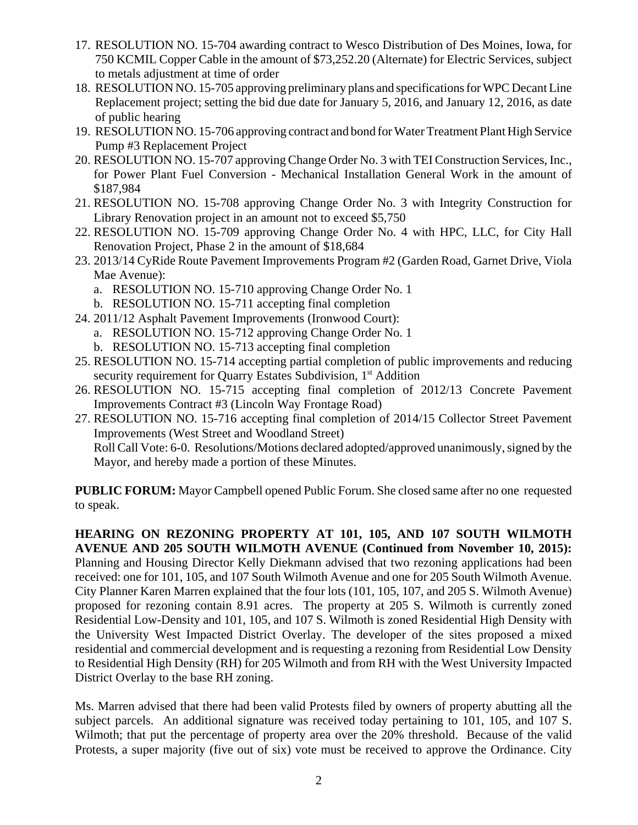- 17. RESOLUTION NO. 15-704 awarding contract to Wesco Distribution of Des Moines, Iowa, for 750 KCMIL Copper Cable in the amount of \$73,252.20 (Alternate) for Electric Services, subject to metals adjustment at time of order
- 18. RESOLUTION NO. 15-705 approving preliminary plans and specifications for WPC Decant Line Replacement project; setting the bid due date for January 5, 2016, and January 12, 2016, as date of public hearing
- 19. RESOLUTION NO. 15-706 approving contract and bond for Water Treatment Plant High Service Pump #3 Replacement Project
- 20. RESOLUTION NO. 15-707 approving Change Order No. 3 with TEI Construction Services, Inc., for Power Plant Fuel Conversion - Mechanical Installation General Work in the amount of \$187,984
- 21. RESOLUTION NO. 15-708 approving Change Order No. 3 with Integrity Construction for Library Renovation project in an amount not to exceed \$5,750
- 22. RESOLUTION NO. 15-709 approving Change Order No. 4 with HPC, LLC, for City Hall Renovation Project, Phase 2 in the amount of \$18,684
- 23. 2013/14 CyRide Route Pavement Improvements Program #2 (Garden Road, Garnet Drive, Viola Mae Avenue):
	- a. RESOLUTION NO. 15-710 approving Change Order No. 1
	- b. RESOLUTION NO. 15-711 accepting final completion
- 24. 2011/12 Asphalt Pavement Improvements (Ironwood Court):
	- a. RESOLUTION NO. 15-712 approving Change Order No. 1
	- b. RESOLUTION NO. 15-713 accepting final completion
- 25. RESOLUTION NO. 15-714 accepting partial completion of public improvements and reducing security requirement for Quarry Estates Subdivision, 1<sup>st</sup> Addition
- 26. RESOLUTION NO. 15-715 accepting final completion of 2012/13 Concrete Pavement Improvements Contract #3 (Lincoln Way Frontage Road)
- 27. RESOLUTION NO. 15-716 accepting final completion of 2014/15 Collector Street Pavement Improvements (West Street and Woodland Street) Roll Call Vote: 6-0. Resolutions/Motions declared adopted/approved unanimously, signed by the

Mayor, and hereby made a portion of these Minutes.

**PUBLIC FORUM:** Mayor Campbell opened Public Forum. She closed same after no one requested to speak.

**HEARING ON REZONING PROPERTY AT 101, 105, AND 107 SOUTH WILMOTH AVENUE AND 205 SOUTH WILMOTH AVENUE (Continued from November 10, 2015):** Planning and Housing Director Kelly Diekmann advised that two rezoning applications had been received: one for 101, 105, and 107 South Wilmoth Avenue and one for 205 South Wilmoth Avenue. City Planner Karen Marren explained that the four lots (101, 105, 107, and 205 S. Wilmoth Avenue) proposed for rezoning contain 8.91 acres. The property at 205 S. Wilmoth is currently zoned Residential Low-Density and 101, 105, and 107 S. Wilmoth is zoned Residential High Density with the University West Impacted District Overlay. The developer of the sites proposed a mixed residential and commercial development and is requesting a rezoning from Residential Low Density to Residential High Density (RH) for 205 Wilmoth and from RH with the West University Impacted District Overlay to the base RH zoning.

Ms. Marren advised that there had been valid Protests filed by owners of property abutting all the subject parcels. An additional signature was received today pertaining to 101, 105, and 107 S. Wilmoth; that put the percentage of property area over the 20% threshold. Because of the valid Protests, a super majority (five out of six) vote must be received to approve the Ordinance. City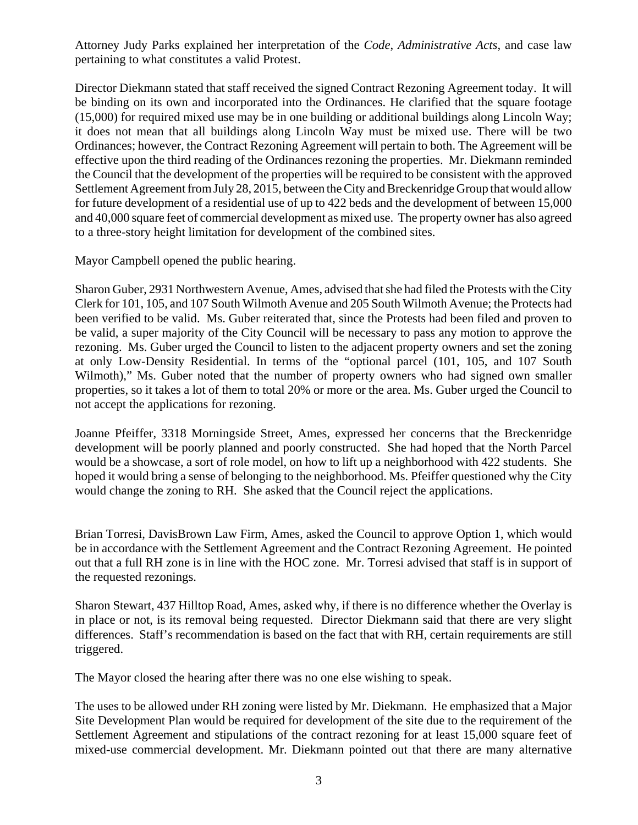Attorney Judy Parks explained her interpretation of the *Code*, *Administrative Acts*, and case law pertaining to what constitutes a valid Protest.

Director Diekmann stated that staff received the signed Contract Rezoning Agreement today. It will be binding on its own and incorporated into the Ordinances. He clarified that the square footage (15,000) for required mixed use may be in one building or additional buildings along Lincoln Way; it does not mean that all buildings along Lincoln Way must be mixed use. There will be two Ordinances; however, the Contract Rezoning Agreement will pertain to both. The Agreement will be effective upon the third reading of the Ordinances rezoning the properties. Mr. Diekmann reminded the Council that the development of the properties will be required to be consistent with the approved Settlement Agreement from July 28, 2015, between the City and Breckenridge Group that would allow for future development of a residential use of up to 422 beds and the development of between 15,000 and 40,000 square feet of commercial development as mixed use. The property owner has also agreed to a three-story height limitation for development of the combined sites.

Mayor Campbell opened the public hearing.

Sharon Guber, 2931 Northwestern Avenue, Ames, advised that she had filed the Protests with the City Clerk for 101, 105, and 107 South Wilmoth Avenue and 205 South Wilmoth Avenue; the Protects had been verified to be valid. Ms. Guber reiterated that, since the Protests had been filed and proven to be valid, a super majority of the City Council will be necessary to pass any motion to approve the rezoning. Ms. Guber urged the Council to listen to the adjacent property owners and set the zoning at only Low-Density Residential. In terms of the "optional parcel (101, 105, and 107 South Wilmoth)," Ms. Guber noted that the number of property owners who had signed own smaller properties, so it takes a lot of them to total 20% or more or the area. Ms. Guber urged the Council to not accept the applications for rezoning.

Joanne Pfeiffer, 3318 Morningside Street, Ames, expressed her concerns that the Breckenridge development will be poorly planned and poorly constructed. She had hoped that the North Parcel would be a showcase, a sort of role model, on how to lift up a neighborhood with 422 students. She hoped it would bring a sense of belonging to the neighborhood. Ms. Pfeiffer questioned why the City would change the zoning to RH. She asked that the Council reject the applications.

Brian Torresi, DavisBrown Law Firm, Ames, asked the Council to approve Option 1, which would be in accordance with the Settlement Agreement and the Contract Rezoning Agreement. He pointed out that a full RH zone is in line with the HOC zone. Mr. Torresi advised that staff is in support of the requested rezonings.

Sharon Stewart, 437 Hilltop Road, Ames, asked why, if there is no difference whether the Overlay is in place or not, is its removal being requested. Director Diekmann said that there are very slight differences. Staff's recommendation is based on the fact that with RH, certain requirements are still triggered.

The Mayor closed the hearing after there was no one else wishing to speak.

The uses to be allowed under RH zoning were listed by Mr. Diekmann. He emphasized that a Major Site Development Plan would be required for development of the site due to the requirement of the Settlement Agreement and stipulations of the contract rezoning for at least 15,000 square feet of mixed-use commercial development. Mr. Diekmann pointed out that there are many alternative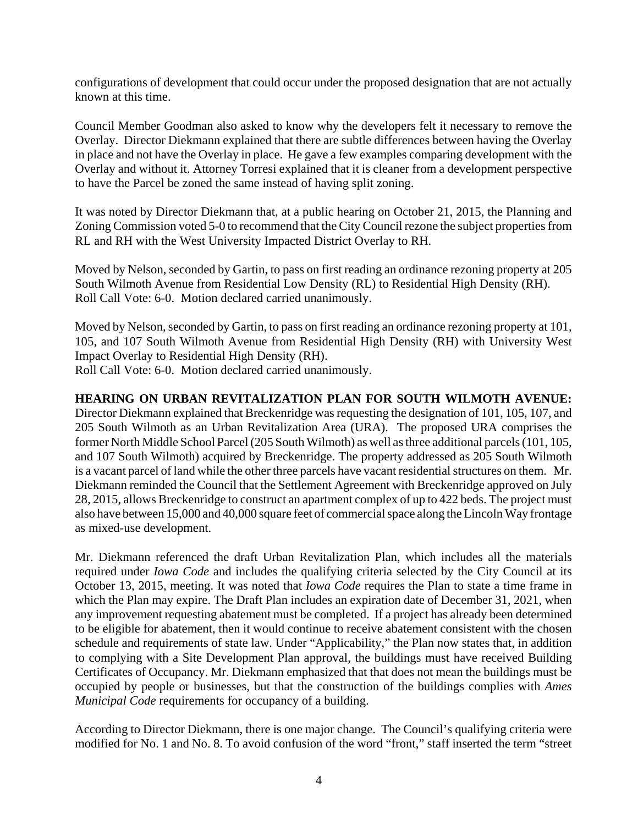configurations of development that could occur under the proposed designation that are not actually known at this time.

Council Member Goodman also asked to know why the developers felt it necessary to remove the Overlay. Director Diekmann explained that there are subtle differences between having the Overlay in place and not have the Overlay in place. He gave a few examples comparing development with the Overlay and without it. Attorney Torresi explained that it is cleaner from a development perspective to have the Parcel be zoned the same instead of having split zoning.

It was noted by Director Diekmann that, at a public hearing on October 21, 2015, the Planning and Zoning Commission voted 5-0 to recommend that the City Council rezone the subject properties from RL and RH with the West University Impacted District Overlay to RH.

Moved by Nelson, seconded by Gartin, to pass on first reading an ordinance rezoning property at 205 South Wilmoth Avenue from Residential Low Density (RL) to Residential High Density (RH). Roll Call Vote: 6-0. Motion declared carried unanimously.

Moved by Nelson, seconded by Gartin, to pass on first reading an ordinance rezoning property at 101, 105, and 107 South Wilmoth Avenue from Residential High Density (RH) with University West Impact Overlay to Residential High Density (RH). Roll Call Vote: 6-0. Motion declared carried unanimously.

### **HEARING ON URBAN REVITALIZATION PLAN FOR SOUTH WILMOTH AVENUE:**

Director Diekmann explained that Breckenridge was requesting the designation of 101, 105, 107, and 205 South Wilmoth as an Urban Revitalization Area (URA). The proposed URA comprises the former North Middle School Parcel (205 South Wilmoth) as well as three additional parcels (101, 105, and 107 South Wilmoth) acquired by Breckenridge. The property addressed as 205 South Wilmoth is a vacant parcel of land while the other three parcels have vacant residential structures on them. Mr. Diekmann reminded the Council that the Settlement Agreement with Breckenridge approved on July 28, 2015, allows Breckenridge to construct an apartment complex of up to 422 beds. The project must also have between 15,000 and 40,000 square feet of commercial space along the Lincoln Way frontage as mixed-use development.

Mr. Diekmann referenced the draft Urban Revitalization Plan, which includes all the materials required under *Iowa Code* and includes the qualifying criteria selected by the City Council at its October 13, 2015, meeting. It was noted that *Iowa Code* requires the Plan to state a time frame in which the Plan may expire. The Draft Plan includes an expiration date of December 31, 2021, when any improvement requesting abatement must be completed. If a project has already been determined to be eligible for abatement, then it would continue to receive abatement consistent with the chosen schedule and requirements of state law. Under "Applicability," the Plan now states that, in addition to complying with a Site Development Plan approval, the buildings must have received Building Certificates of Occupancy. Mr. Diekmann emphasized that that does not mean the buildings must be occupied by people or businesses, but that the construction of the buildings complies with *Ames Municipal Code* requirements for occupancy of a building.

According to Director Diekmann, there is one major change. The Council's qualifying criteria were modified for No. 1 and No. 8. To avoid confusion of the word "front," staff inserted the term "street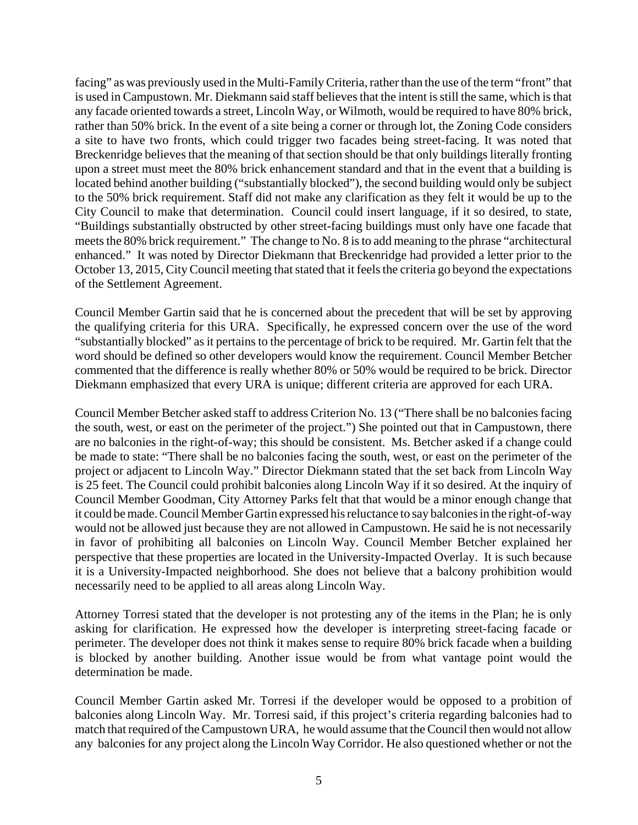facing" as was previously used in the Multi-Family Criteria, rather than the use of the term "front" that is used in Campustown. Mr. Diekmann said staff believes that the intent is still the same, which is that any facade oriented towards a street, Lincoln Way, or Wilmoth, would be required to have 80% brick, rather than 50% brick. In the event of a site being a corner or through lot, the Zoning Code considers a site to have two fronts, which could trigger two facades being street-facing. It was noted that Breckenridge believes that the meaning of that section should be that only buildings literally fronting upon a street must meet the 80% brick enhancement standard and that in the event that a building is located behind another building ("substantially blocked"), the second building would only be subject to the 50% brick requirement. Staff did not make any clarification as they felt it would be up to the City Council to make that determination. Council could insert language, if it so desired, to state, "Buildings substantially obstructed by other street-facing buildings must only have one facade that meets the 80% brick requirement." The change to No. 8 is to add meaning to the phrase "architectural enhanced." It was noted by Director Diekmann that Breckenridge had provided a letter prior to the October 13, 2015, City Council meeting that stated that it feels the criteria go beyond the expectations of the Settlement Agreement.

Council Member Gartin said that he is concerned about the precedent that will be set by approving the qualifying criteria for this URA. Specifically, he expressed concern over the use of the word "substantially blocked" as it pertains to the percentage of brick to be required. Mr. Gartin felt that the word should be defined so other developers would know the requirement. Council Member Betcher commented that the difference is really whether 80% or 50% would be required to be brick. Director Diekmann emphasized that every URA is unique; different criteria are approved for each URA.

Council Member Betcher asked staff to address Criterion No. 13 ("There shall be no balconies facing the south, west, or east on the perimeter of the project.") She pointed out that in Campustown, there are no balconies in the right-of-way; this should be consistent. Ms. Betcher asked if a change could be made to state: "There shall be no balconies facing the south, west, or east on the perimeter of the project or adjacent to Lincoln Way." Director Diekmann stated that the set back from Lincoln Way is 25 feet. The Council could prohibit balconies along Lincoln Way if it so desired. At the inquiry of Council Member Goodman, City Attorney Parks felt that that would be a minor enough change that it could be made. Council Member Gartin expressed his reluctance to say balconies in the right-of-way would not be allowed just because they are not allowed in Campustown. He said he is not necessarily in favor of prohibiting all balconies on Lincoln Way. Council Member Betcher explained her perspective that these properties are located in the University-Impacted Overlay. It is such because it is a University-Impacted neighborhood. She does not believe that a balcony prohibition would necessarily need to be applied to all areas along Lincoln Way.

Attorney Torresi stated that the developer is not protesting any of the items in the Plan; he is only asking for clarification. He expressed how the developer is interpreting street-facing facade or perimeter. The developer does not think it makes sense to require 80% brick facade when a building is blocked by another building. Another issue would be from what vantage point would the determination be made.

Council Member Gartin asked Mr. Torresi if the developer would be opposed to a probition of balconies along Lincoln Way. Mr. Torresi said, if this project's criteria regarding balconies had to match that required of the Campustown URA, he would assume that the Council then would not allow any balconies for any project along the Lincoln Way Corridor. He also questioned whether or not the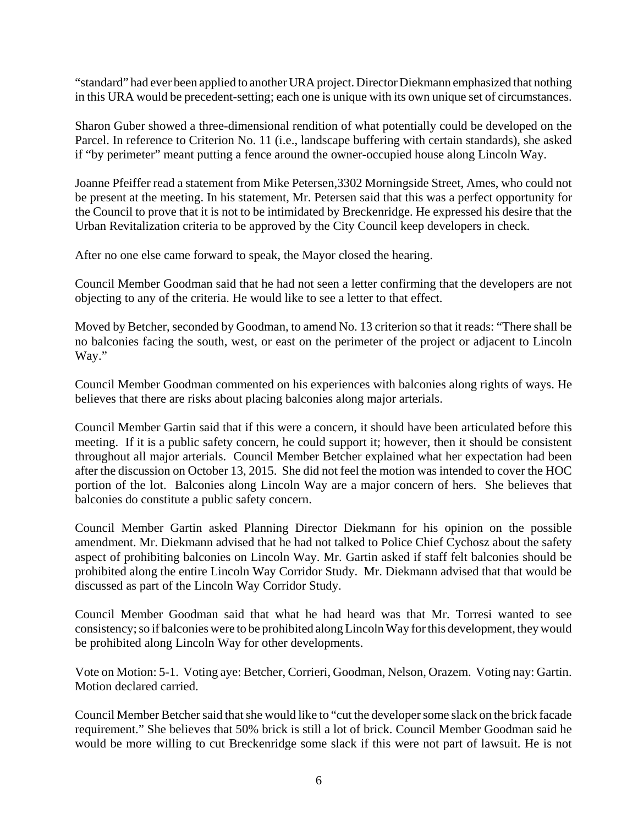"standard" had ever been applied to another URA project. Director Diekmann emphasized that nothing in this URA would be precedent-setting; each one is unique with its own unique set of circumstances.

Sharon Guber showed a three-dimensional rendition of what potentially could be developed on the Parcel. In reference to Criterion No. 11 (i.e., landscape buffering with certain standards), she asked if "by perimeter" meant putting a fence around the owner-occupied house along Lincoln Way.

Joanne Pfeiffer read a statement from Mike Petersen,3302 Morningside Street, Ames, who could not be present at the meeting. In his statement, Mr. Petersen said that this was a perfect opportunity for the Council to prove that it is not to be intimidated by Breckenridge. He expressed his desire that the Urban Revitalization criteria to be approved by the City Council keep developers in check.

After no one else came forward to speak, the Mayor closed the hearing.

Council Member Goodman said that he had not seen a letter confirming that the developers are not objecting to any of the criteria. He would like to see a letter to that effect.

Moved by Betcher, seconded by Goodman, to amend No. 13 criterion so that it reads: "There shall be no balconies facing the south, west, or east on the perimeter of the project or adjacent to Lincoln Way."

Council Member Goodman commented on his experiences with balconies along rights of ways. He believes that there are risks about placing balconies along major arterials.

Council Member Gartin said that if this were a concern, it should have been articulated before this meeting. If it is a public safety concern, he could support it; however, then it should be consistent throughout all major arterials. Council Member Betcher explained what her expectation had been after the discussion on October 13, 2015. She did not feel the motion was intended to cover the HOC portion of the lot. Balconies along Lincoln Way are a major concern of hers. She believes that balconies do constitute a public safety concern.

Council Member Gartin asked Planning Director Diekmann for his opinion on the possible amendment. Mr. Diekmann advised that he had not talked to Police Chief Cychosz about the safety aspect of prohibiting balconies on Lincoln Way. Mr. Gartin asked if staff felt balconies should be prohibited along the entire Lincoln Way Corridor Study. Mr. Diekmann advised that that would be discussed as part of the Lincoln Way Corridor Study.

Council Member Goodman said that what he had heard was that Mr. Torresi wanted to see consistency; so if balconies were to be prohibited along Lincoln Way for this development, they would be prohibited along Lincoln Way for other developments.

Vote on Motion: 5-1. Voting aye: Betcher, Corrieri, Goodman, Nelson, Orazem. Voting nay: Gartin. Motion declared carried.

Council Member Betcher said that she would like to "cut the developer some slack on the brick facade requirement." She believes that 50% brick is still a lot of brick. Council Member Goodman said he would be more willing to cut Breckenridge some slack if this were not part of lawsuit. He is not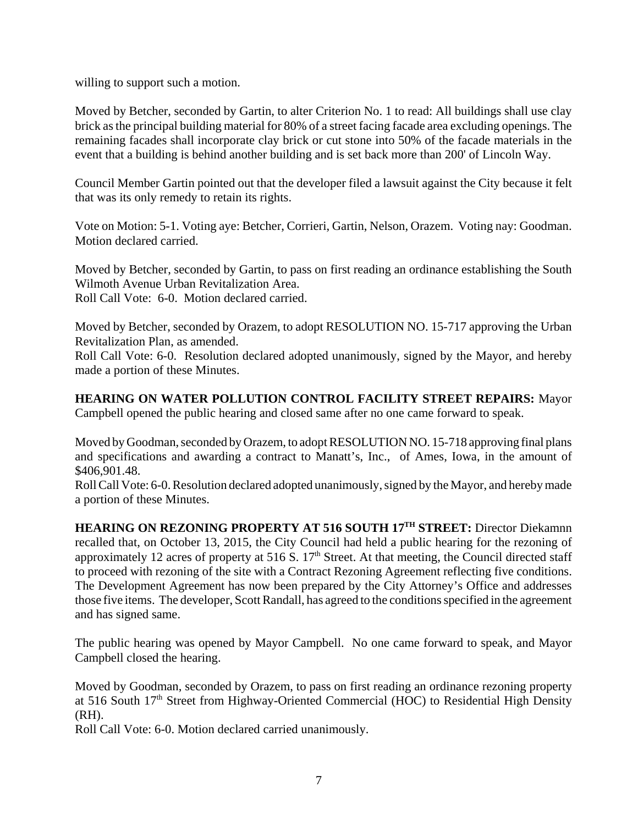willing to support such a motion.

Moved by Betcher, seconded by Gartin, to alter Criterion No. 1 to read: All buildings shall use clay brick as the principal building material for 80% of a street facing facade area excluding openings. The remaining facades shall incorporate clay brick or cut stone into 50% of the facade materials in the event that a building is behind another building and is set back more than 200' of Lincoln Way.

Council Member Gartin pointed out that the developer filed a lawsuit against the City because it felt that was its only remedy to retain its rights.

Vote on Motion: 5-1. Voting aye: Betcher, Corrieri, Gartin, Nelson, Orazem. Voting nay: Goodman. Motion declared carried.

Moved by Betcher, seconded by Gartin, to pass on first reading an ordinance establishing the South Wilmoth Avenue Urban Revitalization Area. Roll Call Vote: 6-0. Motion declared carried.

Moved by Betcher, seconded by Orazem, to adopt RESOLUTION NO. 15-717 approving the Urban Revitalization Plan, as amended.

Roll Call Vote: 6-0. Resolution declared adopted unanimously, signed by the Mayor, and hereby made a portion of these Minutes.

**HEARING ON WATER POLLUTION CONTROL FACILITY STREET REPAIRS:** Mayor Campbell opened the public hearing and closed same after no one came forward to speak.

Moved by Goodman, seconded by Orazem, to adopt RESOLUTION NO. 15-718 approving final plans and specifications and awarding a contract to Manatt's, Inc., of Ames, Iowa, in the amount of \$406,901.48.

Roll Call Vote: 6-0. Resolution declared adopted unanimously, signed by the Mayor, and hereby made a portion of these Minutes.

**HEARING ON REZONING PROPERTY AT 516 SOUTH 17TH STREET:** Director Diekamnn recalled that, on October 13, 2015, the City Council had held a public hearing for the rezoning of approximately 12 acres of property at 516 S.  $17<sup>th</sup>$  Street. At that meeting, the Council directed staff to proceed with rezoning of the site with a Contract Rezoning Agreement reflecting five conditions. The Development Agreement has now been prepared by the City Attorney's Office and addresses those five items. The developer, Scott Randall, has agreed to the conditions specified in the agreement and has signed same.

The public hearing was opened by Mayor Campbell. No one came forward to speak, and Mayor Campbell closed the hearing.

Moved by Goodman, seconded by Orazem, to pass on first reading an ordinance rezoning property at 516 South 17<sup>th</sup> Street from Highway-Oriented Commercial (HOC) to Residential High Density (RH).

Roll Call Vote: 6-0. Motion declared carried unanimously.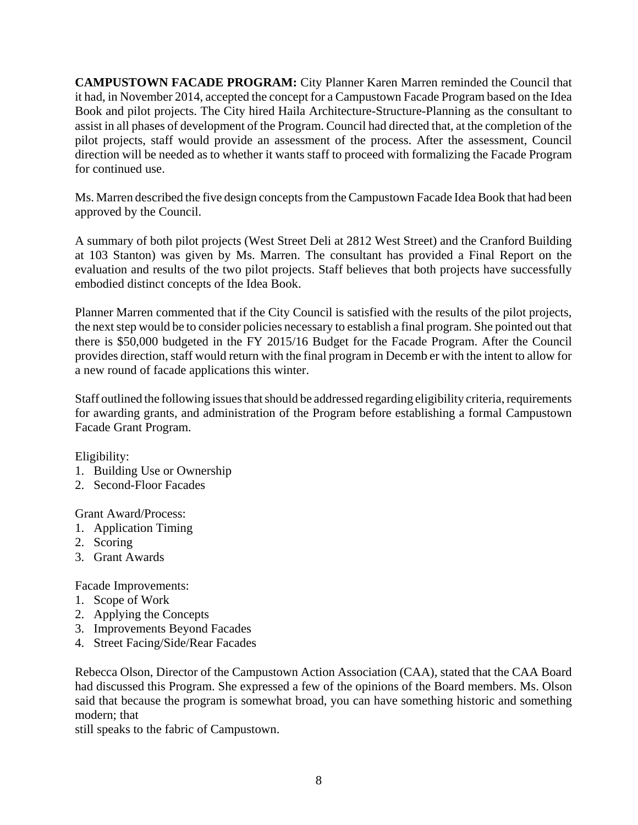**CAMPUSTOWN FACADE PROGRAM:** City Planner Karen Marren reminded the Council that it had, in November 2014, accepted the concept for a Campustown Facade Program based on the Idea Book and pilot projects. The City hired Haila Architecture-Structure-Planning as the consultant to assist in all phases of development of the Program. Council had directed that, at the completion of the pilot projects, staff would provide an assessment of the process. After the assessment, Council direction will be needed as to whether it wants staff to proceed with formalizing the Facade Program for continued use.

Ms. Marren described the five design concepts from the Campustown Facade Idea Book that had been approved by the Council.

A summary of both pilot projects (West Street Deli at 2812 West Street) and the Cranford Building at 103 Stanton) was given by Ms. Marren. The consultant has provided a Final Report on the evaluation and results of the two pilot projects. Staff believes that both projects have successfully embodied distinct concepts of the Idea Book.

Planner Marren commented that if the City Council is satisfied with the results of the pilot projects, the next step would be to consider policies necessary to establish a final program. She pointed out that there is \$50,000 budgeted in the FY 2015/16 Budget for the Facade Program. After the Council provides direction, staff would return with the final program in Decemb er with the intent to allow for a new round of facade applications this winter.

Staff outlined the following issues that should be addressed regarding eligibility criteria, requirements for awarding grants, and administration of the Program before establishing a formal Campustown Facade Grant Program.

Eligibility:

- 1. Building Use or Ownership
- 2. Second-Floor Facades

Grant Award/Process:

- 1. Application Timing
- 2. Scoring
- 3. Grant Awards

Facade Improvements:

- 1. Scope of Work
- 2. Applying the Concepts
- 3. Improvements Beyond Facades
- 4. Street Facing/Side/Rear Facades

Rebecca Olson, Director of the Campustown Action Association (CAA), stated that the CAA Board had discussed this Program. She expressed a few of the opinions of the Board members. Ms. Olson said that because the program is somewhat broad, you can have something historic and something modern; that

still speaks to the fabric of Campustown.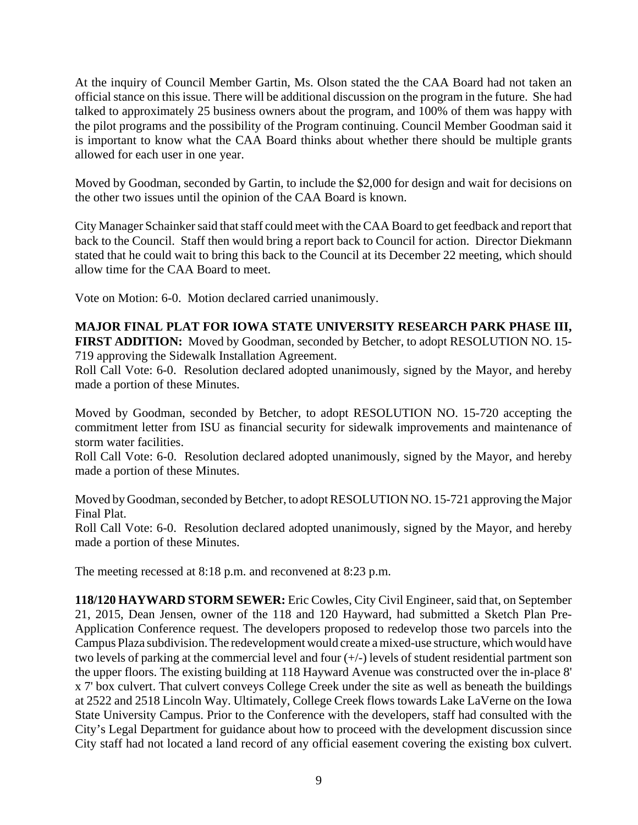At the inquiry of Council Member Gartin, Ms. Olson stated the the CAA Board had not taken an official stance on this issue. There will be additional discussion on the program in the future. She had talked to approximately 25 business owners about the program, and 100% of them was happy with the pilot programs and the possibility of the Program continuing. Council Member Goodman said it is important to know what the CAA Board thinks about whether there should be multiple grants allowed for each user in one year.

Moved by Goodman, seconded by Gartin, to include the \$2,000 for design and wait for decisions on the other two issues until the opinion of the CAA Board is known.

City Manager Schainker said that staff could meet with the CAA Board to get feedback and report that back to the Council. Staff then would bring a report back to Council for action. Director Diekmann stated that he could wait to bring this back to the Council at its December 22 meeting, which should allow time for the CAA Board to meet.

Vote on Motion: 6-0. Motion declared carried unanimously.

# **MAJOR FINAL PLAT FOR IOWA STATE UNIVERSITY RESEARCH PARK PHASE III, FIRST ADDITION:** Moved by Goodman, seconded by Betcher, to adopt RESOLUTION NO. 15-

719 approving the Sidewalk Installation Agreement.

Roll Call Vote: 6-0. Resolution declared adopted unanimously, signed by the Mayor, and hereby made a portion of these Minutes.

Moved by Goodman, seconded by Betcher, to adopt RESOLUTION NO. 15-720 accepting the commitment letter from ISU as financial security for sidewalk improvements and maintenance of storm water facilities.

Roll Call Vote: 6-0. Resolution declared adopted unanimously, signed by the Mayor, and hereby made a portion of these Minutes.

Moved by Goodman, seconded by Betcher, to adopt RESOLUTION NO. 15-721 approving the Major Final Plat.

Roll Call Vote: 6-0. Resolution declared adopted unanimously, signed by the Mayor, and hereby made a portion of these Minutes.

The meeting recessed at 8:18 p.m. and reconvened at 8:23 p.m.

**118/120 HAYWARD STORM SEWER:** Eric Cowles, City Civil Engineer, said that, on September 21, 2015, Dean Jensen, owner of the 118 and 120 Hayward, had submitted a Sketch Plan Pre-Application Conference request. The developers proposed to redevelop those two parcels into the Campus Plaza subdivision. The redevelopment would create a mixed-use structure, which would have two levels of parking at the commercial level and four (+/-) levels of student residential partment son the upper floors. The existing building at 118 Hayward Avenue was constructed over the in-place 8' x 7' box culvert. That culvert conveys College Creek under the site as well as beneath the buildings at 2522 and 2518 Lincoln Way. Ultimately, College Creek flows towards Lake LaVerne on the Iowa State University Campus. Prior to the Conference with the developers, staff had consulted with the City's Legal Department for guidance about how to proceed with the development discussion since City staff had not located a land record of any official easement covering the existing box culvert.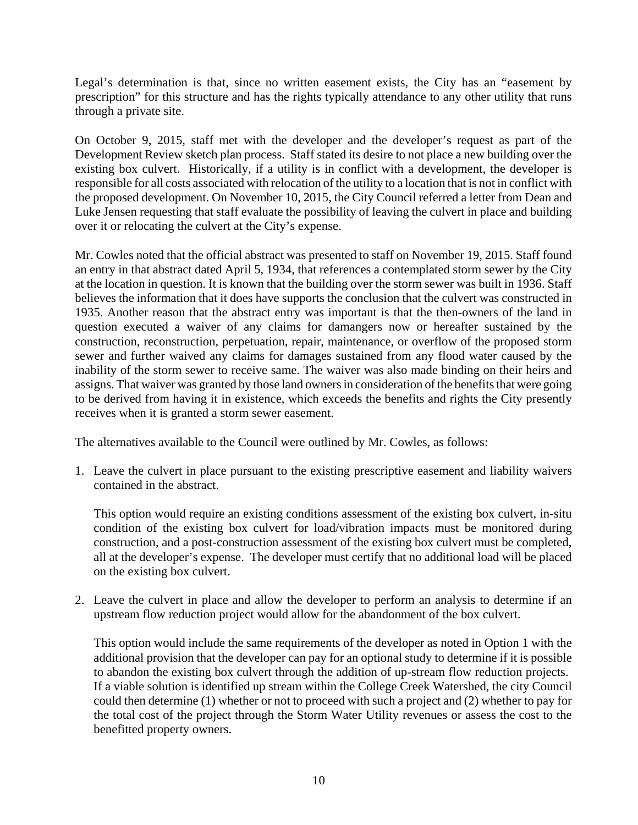Legal's determination is that, since no written easement exists, the City has an "easement by prescription" for this structure and has the rights typically attendance to any other utility that runs through a private site.

On October 9, 2015, staff met with the developer and the developer's request as part of the Development Review sketch plan process. Staff stated its desire to not place a new building over the existing box culvert. Historically, if a utility is in conflict with a development, the developer is responsible for all costs associated with relocation of the utility to a location that is not in conflict with the proposed development. On November 10, 2015, the City Council referred a letter from Dean and Luke Jensen requesting that staff evaluate the possibility of leaving the culvert in place and building over it or relocating the culvert at the City's expense.

Mr. Cowles noted that the official abstract was presented to staff on November 19, 2015. Staff found an entry in that abstract dated April 5, 1934, that references a contemplated storm sewer by the City at the location in question. It is known that the building over the storm sewer was built in 1936. Staff believes the information that it does have supports the conclusion that the culvert was constructed in 1935. Another reason that the abstract entry was important is that the then-owners of the land in question executed a waiver of any claims for damangers now or hereafter sustained by the construction, reconstruction, perpetuation, repair, maintenance, or overflow of the proposed storm sewer and further waived any claims for damages sustained from any flood water caused by the inability of the storm sewer to receive same. The waiver was also made binding on their heirs and assigns. That waiver was granted by those land owners in consideration of the benefits that were going to be derived from having it in existence, which exceeds the benefits and rights the City presently receives when it is granted a storm sewer easement.

The alternatives available to the Council were outlined by Mr. Cowles, as follows:

1. Leave the culvert in place pursuant to the existing prescriptive easement and liability waivers contained in the abstract.

This option would require an existing conditions assessment of the existing box culvert, in-situ condition of the existing box culvert for load/vibration impacts must be monitored during construction, and a post-construction assessment of the existing box culvert must be completed, all at the developer's expense. The developer must certify that no additional load will be placed on the existing box culvert.

2. Leave the culvert in place and allow the developer to perform an analysis to determine if an upstream flow reduction project would allow for the abandonment of the box culvert.

This option would include the same requirements of the developer as noted in Option 1 with the additional provision that the developer can pay for an optional study to determine if it is possible to abandon the existing box culvert through the addition of up-stream flow reduction projects. If a viable solution is identified up stream within the College Creek Watershed, the city Council could then determine (1) whether or not to proceed with such a project and (2) whether to pay for the total cost of the project through the Storm Water Utility revenues or assess the cost to the benefitted property owners.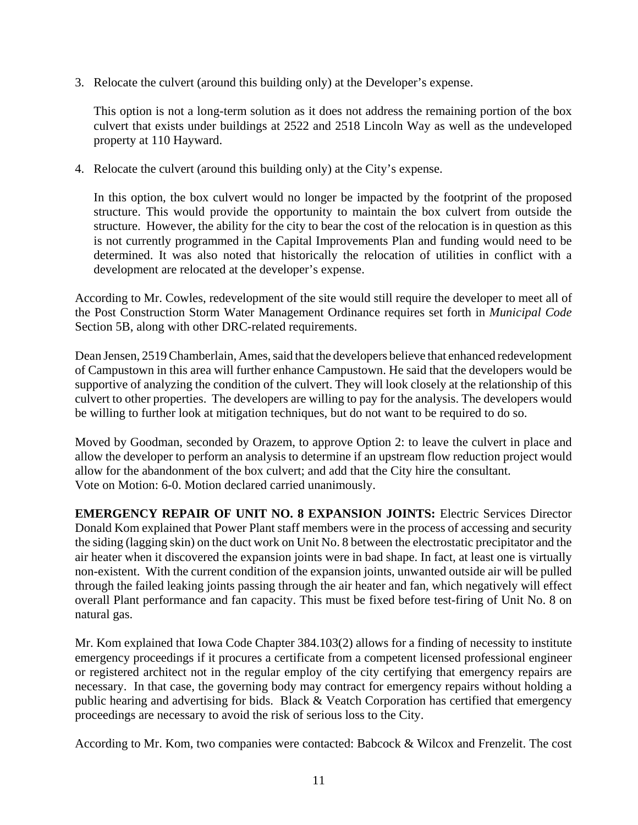3. Relocate the culvert (around this building only) at the Developer's expense.

This option is not a long-term solution as it does not address the remaining portion of the box culvert that exists under buildings at 2522 and 2518 Lincoln Way as well as the undeveloped property at 110 Hayward.

4. Relocate the culvert (around this building only) at the City's expense.

In this option, the box culvert would no longer be impacted by the footprint of the proposed structure. This would provide the opportunity to maintain the box culvert from outside the structure. However, the ability for the city to bear the cost of the relocation is in question as this is not currently programmed in the Capital Improvements Plan and funding would need to be determined. It was also noted that historically the relocation of utilities in conflict with a development are relocated at the developer's expense.

According to Mr. Cowles, redevelopment of the site would still require the developer to meet all of the Post Construction Storm Water Management Ordinance requires set forth in *Municipal Code* Section 5B, along with other DRC-related requirements.

Dean Jensen, 2519 Chamberlain, Ames, said that the developers believe that enhanced redevelopment of Campustown in this area will further enhance Campustown. He said that the developers would be supportive of analyzing the condition of the culvert. They will look closely at the relationship of this culvert to other properties. The developers are willing to pay for the analysis. The developers would be willing to further look at mitigation techniques, but do not want to be required to do so.

Moved by Goodman, seconded by Orazem, to approve Option 2: to leave the culvert in place and allow the developer to perform an analysis to determine if an upstream flow reduction project would allow for the abandonment of the box culvert; and add that the City hire the consultant. Vote on Motion: 6-0. Motion declared carried unanimously.

**EMERGENCY REPAIR OF UNIT NO. 8 EXPANSION JOINTS:** Electric Services Director Donald Kom explained that Power Plant staff members were in the process of accessing and security the siding (lagging skin) on the duct work on Unit No. 8 between the electrostatic precipitator and the air heater when it discovered the expansion joints were in bad shape. In fact, at least one is virtually non-existent. With the current condition of the expansion joints, unwanted outside air will be pulled through the failed leaking joints passing through the air heater and fan, which negatively will effect overall Plant performance and fan capacity. This must be fixed before test-firing of Unit No. 8 on natural gas.

Mr. Kom explained that Iowa Code Chapter 384.103(2) allows for a finding of necessity to institute emergency proceedings if it procures a certificate from a competent licensed professional engineer or registered architect not in the regular employ of the city certifying that emergency repairs are necessary. In that case, the governing body may contract for emergency repairs without holding a public hearing and advertising for bids. Black & Veatch Corporation has certified that emergency proceedings are necessary to avoid the risk of serious loss to the City.

According to Mr. Kom, two companies were contacted: Babcock & Wilcox and Frenzelit. The cost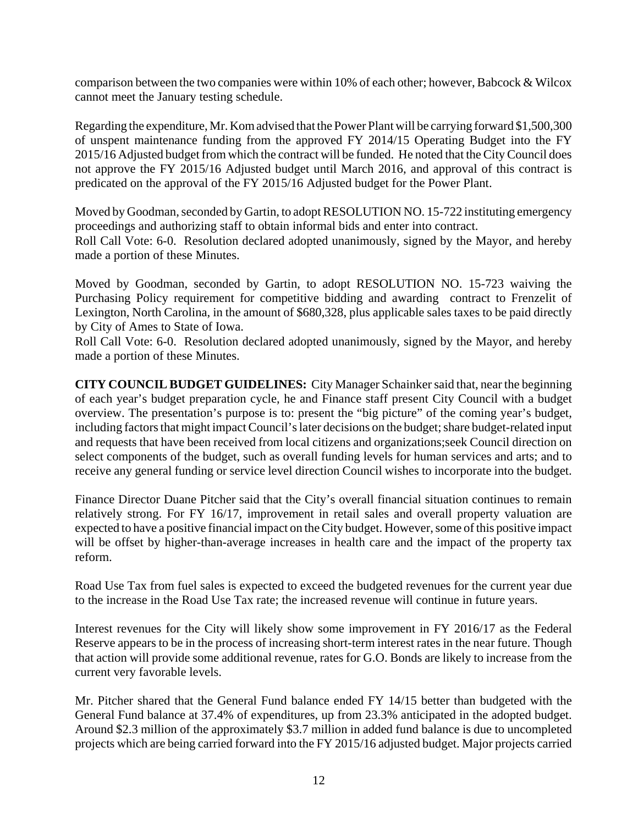comparison between the two companies were within 10% of each other; however, Babcock & Wilcox cannot meet the January testing schedule.

Regarding the expenditure, Mr. Kom advised that the Power Plant will be carrying forward \$1,500,300 of unspent maintenance funding from the approved FY 2014/15 Operating Budget into the FY 2015/16 Adjusted budget from which the contract will be funded. He noted that the City Council does not approve the FY 2015/16 Adjusted budget until March 2016, and approval of this contract is predicated on the approval of the FY 2015/16 Adjusted budget for the Power Plant.

Moved by Goodman, seconded by Gartin, to adopt RESOLUTION NO. 15-722 instituting emergency proceedings and authorizing staff to obtain informal bids and enter into contract. Roll Call Vote: 6-0. Resolution declared adopted unanimously, signed by the Mayor, and hereby made a portion of these Minutes.

Moved by Goodman, seconded by Gartin, to adopt RESOLUTION NO. 15-723 waiving the Purchasing Policy requirement for competitive bidding and awarding contract to Frenzelit of Lexington, North Carolina, in the amount of \$680,328, plus applicable sales taxes to be paid directly by City of Ames to State of Iowa.

Roll Call Vote: 6-0. Resolution declared adopted unanimously, signed by the Mayor, and hereby made a portion of these Minutes.

**CITY COUNCIL BUDGET GUIDELINES:** City Manager Schainker said that, near the beginning of each year's budget preparation cycle, he and Finance staff present City Council with a budget overview. The presentation's purpose is to: present the "big picture" of the coming year's budget, including factors that might impact Council's later decisions on the budget; share budget-related input and requests that have been received from local citizens and organizations;seek Council direction on select components of the budget, such as overall funding levels for human services and arts; and to receive any general funding or service level direction Council wishes to incorporate into the budget.

Finance Director Duane Pitcher said that the City's overall financial situation continues to remain relatively strong. For FY 16/17, improvement in retail sales and overall property valuation are expected to have a positive financial impact on the City budget. However, some of this positive impact will be offset by higher-than-average increases in health care and the impact of the property tax reform.

Road Use Tax from fuel sales is expected to exceed the budgeted revenues for the current year due to the increase in the Road Use Tax rate; the increased revenue will continue in future years.

Interest revenues for the City will likely show some improvement in FY 2016/17 as the Federal Reserve appears to be in the process of increasing short-term interest rates in the near future. Though that action will provide some additional revenue, rates for G.O. Bonds are likely to increase from the current very favorable levels.

Mr. Pitcher shared that the General Fund balance ended FY 14/15 better than budgeted with the General Fund balance at 37.4% of expenditures, up from 23.3% anticipated in the adopted budget. Around \$2.3 million of the approximately \$3.7 million in added fund balance is due to uncompleted projects which are being carried forward into the FY 2015/16 adjusted budget. Major projects carried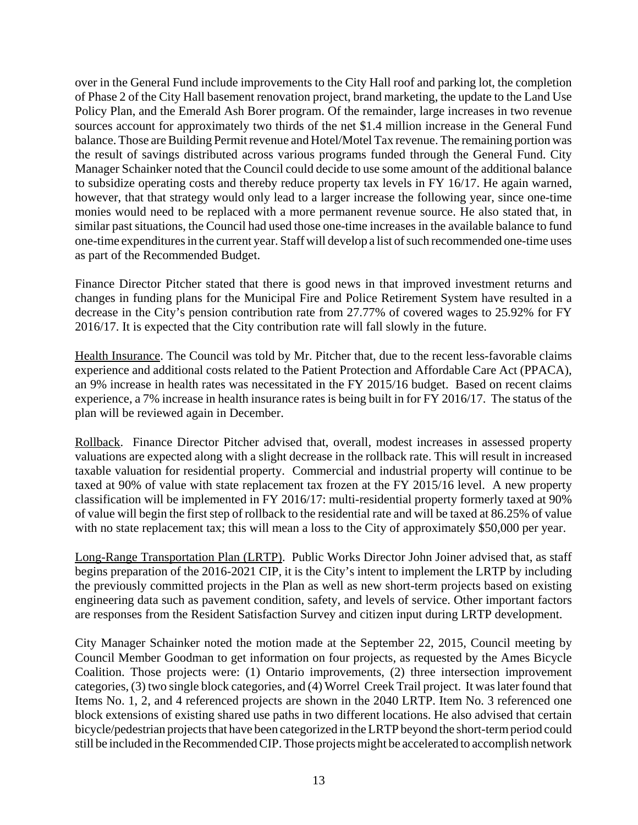over in the General Fund include improvements to the City Hall roof and parking lot, the completion of Phase 2 of the City Hall basement renovation project, brand marketing, the update to the Land Use Policy Plan, and the Emerald Ash Borer program. Of the remainder, large increases in two revenue sources account for approximately two thirds of the net \$1.4 million increase in the General Fund balance. Those are Building Permit revenue and Hotel/Motel Tax revenue. The remaining portion was the result of savings distributed across various programs funded through the General Fund. City Manager Schainker noted that the Council could decide to use some amount of the additional balance to subsidize operating costs and thereby reduce property tax levels in FY 16/17. He again warned, however, that that strategy would only lead to a larger increase the following year, since one-time monies would need to be replaced with a more permanent revenue source. He also stated that, in similar past situations, the Council had used those one-time increases in the available balance to fund one-time expenditures in the current year. Staff will develop a list of such recommended one-time uses as part of the Recommended Budget.

Finance Director Pitcher stated that there is good news in that improved investment returns and changes in funding plans for the Municipal Fire and Police Retirement System have resulted in a decrease in the City's pension contribution rate from 27.77% of covered wages to 25.92% for FY 2016/17. It is expected that the City contribution rate will fall slowly in the future.

Health Insurance. The Council was told by Mr. Pitcher that, due to the recent less-favorable claims experience and additional costs related to the Patient Protection and Affordable Care Act (PPACA), an 9% increase in health rates was necessitated in the FY 2015/16 budget. Based on recent claims experience, a 7% increase in health insurance rates is being built in for FY 2016/17. The status of the plan will be reviewed again in December.

Rollback. Finance Director Pitcher advised that, overall, modest increases in assessed property valuations are expected along with a slight decrease in the rollback rate. This will result in increased taxable valuation for residential property. Commercial and industrial property will continue to be taxed at 90% of value with state replacement tax frozen at the FY 2015/16 level. A new property classification will be implemented in FY 2016/17: multi-residential property formerly taxed at 90% of value will begin the first step of rollback to the residential rate and will be taxed at 86.25% of value with no state replacement tax; this will mean a loss to the City of approximately \$50,000 per year.

Long-Range Transportation Plan (LRTP). Public Works Director John Joiner advised that, as staff begins preparation of the 2016-2021 CIP, it is the City's intent to implement the LRTP by including the previously committed projects in the Plan as well as new short-term projects based on existing engineering data such as pavement condition, safety, and levels of service. Other important factors are responses from the Resident Satisfaction Survey and citizen input during LRTP development.

City Manager Schainker noted the motion made at the September 22, 2015, Council meeting by Council Member Goodman to get information on four projects, as requested by the Ames Bicycle Coalition. Those projects were: (1) Ontario improvements, (2) three intersection improvement categories, (3) two single block categories, and (4) Worrel Creek Trail project. It was later found that Items No. 1, 2, and 4 referenced projects are shown in the 2040 LRTP. Item No. 3 referenced one block extensions of existing shared use paths in two different locations. He also advised that certain bicycle/pedestrian projects that have been categorized in the LRTP beyond the short-term period could still be included in the Recommended CIP. Those projects might be accelerated to accomplish network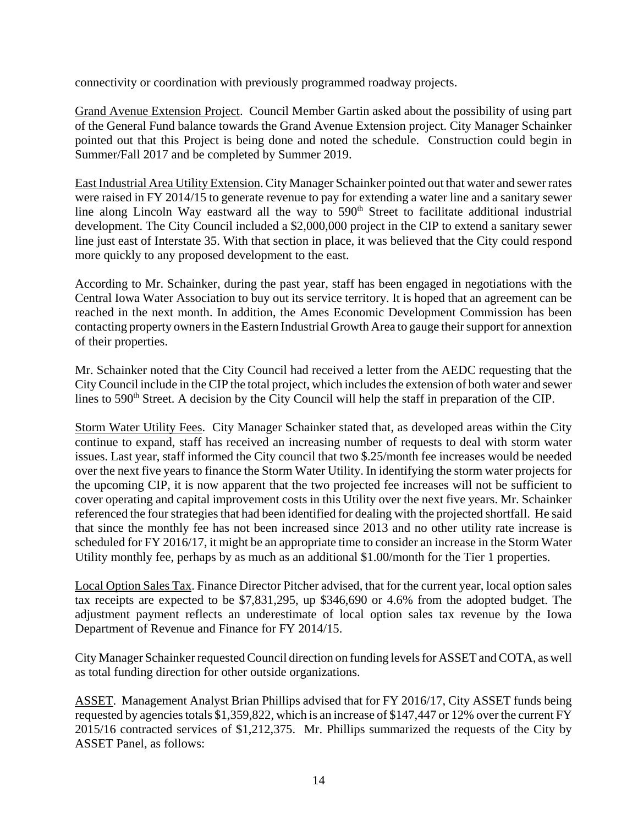connectivity or coordination with previously programmed roadway projects.

Grand Avenue Extension Project. Council Member Gartin asked about the possibility of using part of the General Fund balance towards the Grand Avenue Extension project. City Manager Schainker pointed out that this Project is being done and noted the schedule. Construction could begin in Summer/Fall 2017 and be completed by Summer 2019.

East Industrial Area Utility Extension. City Manager Schainker pointed out that water and sewer rates were raised in FY 2014/15 to generate revenue to pay for extending a water line and a sanitary sewer line along Lincoln Way eastward all the way to  $590<sup>th</sup>$  Street to facilitate additional industrial development. The City Council included a \$2,000,000 project in the CIP to extend a sanitary sewer line just east of Interstate 35. With that section in place, it was believed that the City could respond more quickly to any proposed development to the east.

According to Mr. Schainker, during the past year, staff has been engaged in negotiations with the Central Iowa Water Association to buy out its service territory. It is hoped that an agreement can be reached in the next month. In addition, the Ames Economic Development Commission has been contacting property owners in the Eastern Industrial Growth Area to gauge their support for annextion of their properties.

Mr. Schainker noted that the City Council had received a letter from the AEDC requesting that the City Council include in the CIP the total project, which includes the extension of both water and sewer lines to 590<sup>th</sup> Street. A decision by the City Council will help the staff in preparation of the CIP.

Storm Water Utility Fees. City Manager Schainker stated that, as developed areas within the City continue to expand, staff has received an increasing number of requests to deal with storm water issues. Last year, staff informed the City council that two \$.25/month fee increases would be needed over the next five years to finance the Storm Water Utility. In identifying the storm water projects for the upcoming CIP, it is now apparent that the two projected fee increases will not be sufficient to cover operating and capital improvement costs in this Utility over the next five years. Mr. Schainker referenced the four strategies that had been identified for dealing with the projected shortfall. He said that since the monthly fee has not been increased since 2013 and no other utility rate increase is scheduled for FY 2016/17, it might be an appropriate time to consider an increase in the Storm Water Utility monthly fee, perhaps by as much as an additional \$1.00/month for the Tier 1 properties.

Local Option Sales Tax. Finance Director Pitcher advised, that for the current year, local option sales tax receipts are expected to be \$7,831,295, up \$346,690 or 4.6% from the adopted budget. The adjustment payment reflects an underestimate of local option sales tax revenue by the Iowa Department of Revenue and Finance for FY 2014/15.

City Manager Schainker requested Council direction on funding levels for ASSET and COTA, as well as total funding direction for other outside organizations.

ASSET. Management Analyst Brian Phillips advised that for FY 2016/17, City ASSET funds being requested by agencies totals \$1,359,822, which is an increase of \$147,447 or 12% over the current FY 2015/16 contracted services of \$1,212,375. Mr. Phillips summarized the requests of the City by ASSET Panel, as follows: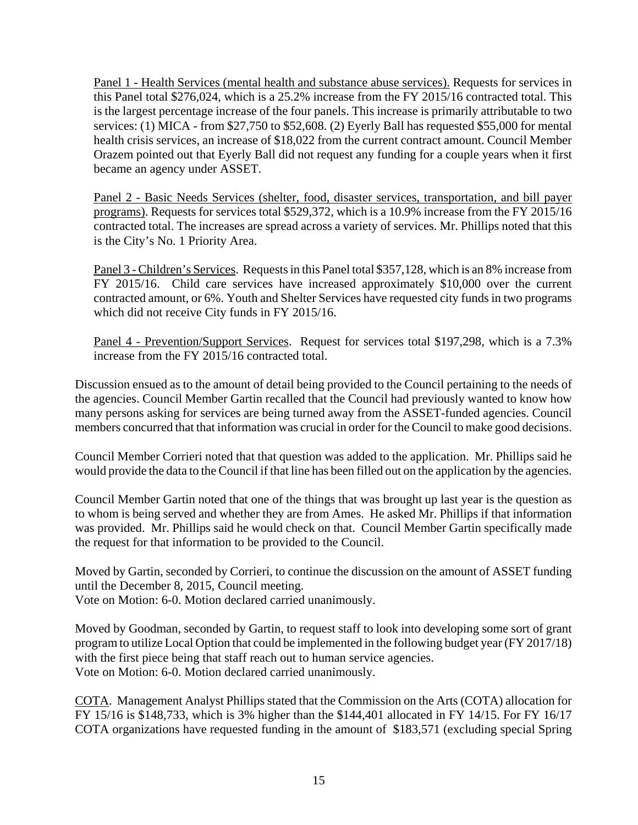Panel 1 - Health Services (mental health and substance abuse services). Requests for services in this Panel total \$276,024, which is a 25.2% increase from the FY 2015/16 contracted total. This is the largest percentage increase of the four panels. This increase is primarily attributable to two services: (1) MICA - from \$27,750 to \$52,608. (2) Eyerly Ball has requested \$55,000 for mental health crisis services, an increase of \$18,022 from the current contract amount. Council Member Orazem pointed out that Eyerly Ball did not request any funding for a couple years when it first became an agency under ASSET.

Panel 2 - Basic Needs Services (shelter, food, disaster services, transportation, and bill payer programs). Requests for services total \$529,372, which is a 10.9% increase from the FY 2015/16 contracted total. The increases are spread across a variety of services. Mr. Phillips noted that this is the City's No. 1 Priority Area.

Panel 3 - Children's Services. Requests in this Panel total \$357,128, which is an 8% increase from FY 2015/16. Child care services have increased approximately \$10,000 over the current contracted amount, or 6%. Youth and Shelter Services have requested city funds in two programs which did not receive City funds in FY 2015/16.

Panel 4 - Prevention/Support Services. Request for services total \$197,298, which is a 7.3% increase from the FY 2015/16 contracted total.

Discussion ensued as to the amount of detail being provided to the Council pertaining to the needs of the agencies. Council Member Gartin recalled that the Council had previously wanted to know how many persons asking for services are being turned away from the ASSET-funded agencies. Council members concurred that that information was crucial in order for the Council to make good decisions.

Council Member Corrieri noted that that question was added to the application. Mr. Phillips said he would provide the data to the Council if that line has been filled out on the application by the agencies.

Council Member Gartin noted that one of the things that was brought up last year is the question as to whom is being served and whether they are from Ames. He asked Mr. Phillips if that information was provided. Mr. Phillips said he would check on that. Council Member Gartin specifically made the request for that information to be provided to the Council.

Moved by Gartin, seconded by Corrieri, to continue the discussion on the amount of ASSET funding until the December 8, 2015, Council meeting. Vote on Motion: 6-0. Motion declared carried unanimously.

Moved by Goodman, seconded by Gartin, to request staff to look into developing some sort of grant program to utilize Local Option that could be implemented in the following budget year (FY 2017/18) with the first piece being that staff reach out to human service agencies. Vote on Motion: 6-0. Motion declared carried unanimously.

COTA. Management Analyst Phillips stated that the Commission on the Arts (COTA) allocation for FY 15/16 is \$148,733, which is 3% higher than the \$144,401 allocated in FY 14/15. For FY 16/17 COTA organizations have requested funding in the amount of \$183,571 (excluding special Spring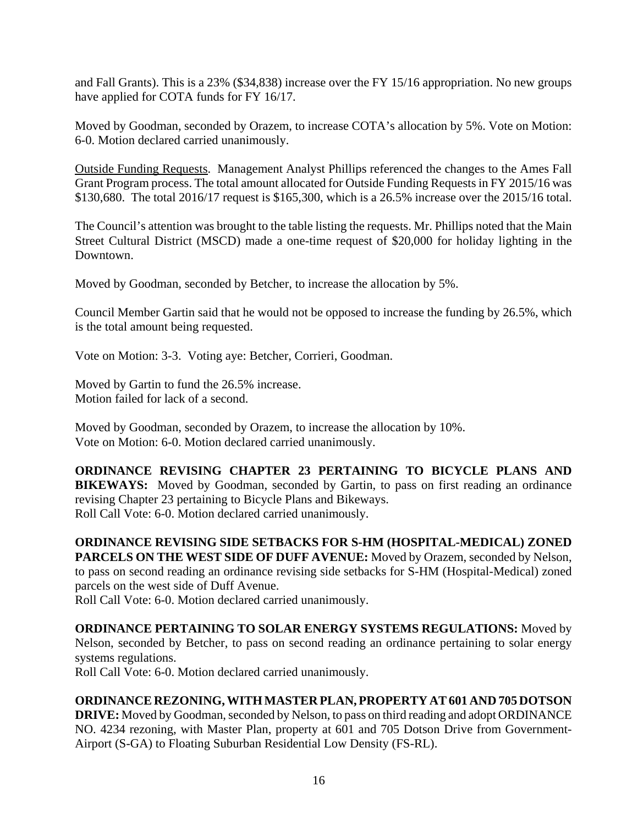and Fall Grants). This is a 23% (\$34,838) increase over the FY 15/16 appropriation. No new groups have applied for COTA funds for FY 16/17.

Moved by Goodman, seconded by Orazem, to increase COTA's allocation by 5%. Vote on Motion: 6-0. Motion declared carried unanimously.

Outside Funding Requests. Management Analyst Phillips referenced the changes to the Ames Fall Grant Program process. The total amount allocated for Outside Funding Requests in FY 2015/16 was \$130,680. The total 2016/17 request is \$165,300, which is a 26.5% increase over the 2015/16 total.

The Council's attention was brought to the table listing the requests. Mr. Phillips noted that the Main Street Cultural District (MSCD) made a one-time request of \$20,000 for holiday lighting in the Downtown.

Moved by Goodman, seconded by Betcher, to increase the allocation by 5%.

Council Member Gartin said that he would not be opposed to increase the funding by 26.5%, which is the total amount being requested.

Vote on Motion: 3-3. Voting aye: Betcher, Corrieri, Goodman.

Moved by Gartin to fund the 26.5% increase. Motion failed for lack of a second.

Moved by Goodman, seconded by Orazem, to increase the allocation by 10%. Vote on Motion: 6-0. Motion declared carried unanimously.

**ORDINANCE REVISING CHAPTER 23 PERTAINING TO BICYCLE PLANS AND BIKEWAYS:** Moved by Goodman, seconded by Gartin, to pass on first reading an ordinance revising Chapter 23 pertaining to Bicycle Plans and Bikeways. Roll Call Vote: 6-0. Motion declared carried unanimously.

**ORDINANCE REVISING SIDE SETBACKS FOR S-HM (HOSPITAL-MEDICAL) ZONED PARCELS ON THE WEST SIDE OF DUFF AVENUE:** Moved by Orazem, seconded by Nelson, to pass on second reading an ordinance revising side setbacks for S-HM (Hospital-Medical) zoned parcels on the west side of Duff Avenue.

Roll Call Vote: 6-0. Motion declared carried unanimously.

**ORDINANCE PERTAINING TO SOLAR ENERGY SYSTEMS REGULATIONS:** Moved by Nelson, seconded by Betcher, to pass on second reading an ordinance pertaining to solar energy systems regulations.

Roll Call Vote: 6-0. Motion declared carried unanimously.

## **ORDINANCE REZONING, WITH MASTER PLAN, PROPERTY AT 601 AND 705 DOTSON**

**DRIVE:** Moved by Goodman, seconded by Nelson, to pass on third reading and adopt ORDINANCE NO. 4234 rezoning, with Master Plan, property at 601 and 705 Dotson Drive from Government-Airport (S-GA) to Floating Suburban Residential Low Density (FS-RL).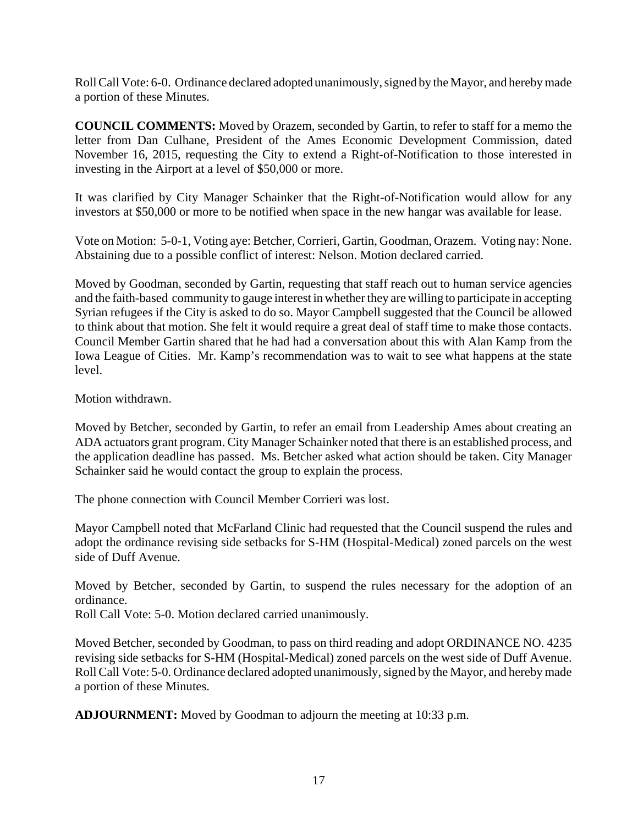Roll Call Vote: 6-0. Ordinance declared adopted unanimously, signed by the Mayor, and hereby made a portion of these Minutes.

**COUNCIL COMMENTS:** Moved by Orazem, seconded by Gartin, to refer to staff for a memo the letter from Dan Culhane, President of the Ames Economic Development Commission, dated November 16, 2015, requesting the City to extend a Right-of-Notification to those interested in investing in the Airport at a level of \$50,000 or more.

It was clarified by City Manager Schainker that the Right-of-Notification would allow for any investors at \$50,000 or more to be notified when space in the new hangar was available for lease.

Vote on Motion: 5-0-1, Voting aye: Betcher, Corrieri, Gartin, Goodman, Orazem. Voting nay: None. Abstaining due to a possible conflict of interest: Nelson. Motion declared carried.

Moved by Goodman, seconded by Gartin, requesting that staff reach out to human service agencies and the faith-based community to gauge interest in whether they are willing to participate in accepting Syrian refugees if the City is asked to do so. Mayor Campbell suggested that the Council be allowed to think about that motion. She felt it would require a great deal of staff time to make those contacts. Council Member Gartin shared that he had had a conversation about this with Alan Kamp from the Iowa League of Cities. Mr. Kamp's recommendation was to wait to see what happens at the state level.

Motion withdrawn.

Moved by Betcher, seconded by Gartin, to refer an email from Leadership Ames about creating an ADA actuators grant program. City Manager Schainker noted that there is an established process, and the application deadline has passed. Ms. Betcher asked what action should be taken. City Manager Schainker said he would contact the group to explain the process.

The phone connection with Council Member Corrieri was lost.

Mayor Campbell noted that McFarland Clinic had requested that the Council suspend the rules and adopt the ordinance revising side setbacks for S-HM (Hospital-Medical) zoned parcels on the west side of Duff Avenue.

Moved by Betcher, seconded by Gartin, to suspend the rules necessary for the adoption of an ordinance.

Roll Call Vote: 5-0. Motion declared carried unanimously.

Moved Betcher, seconded by Goodman, to pass on third reading and adopt ORDINANCE NO. 4235 revising side setbacks for S-HM (Hospital-Medical) zoned parcels on the west side of Duff Avenue. Roll Call Vote: 5-0. Ordinance declared adopted unanimously, signed by the Mayor, and hereby made a portion of these Minutes.

**ADJOURNMENT:** Moved by Goodman to adjourn the meeting at 10:33 p.m.